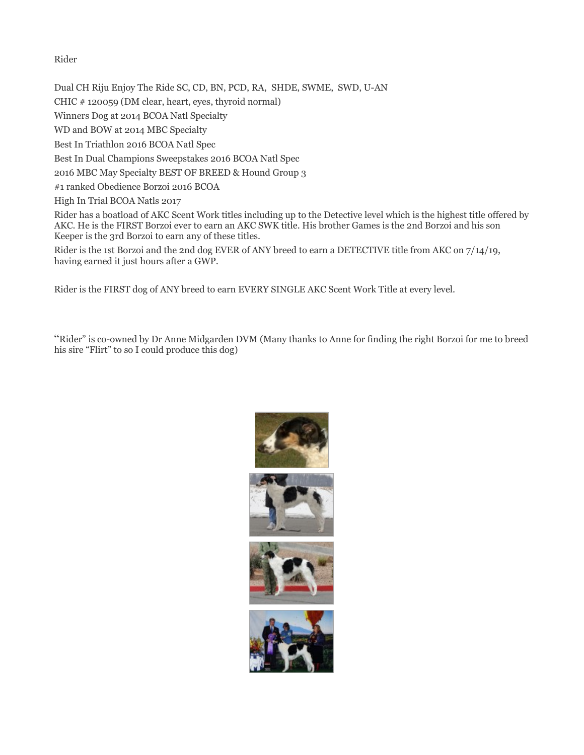Rider

Dual CH Riju Enjoy The Ride SC, CD, BN, PCD, RA, SHDE, SWME, SWD, U-AN

CHIC # 120059 (DM clear, heart, eyes, thyroid normal)

Winners Dog at 2014 BCOA Natl Specialty

WD and BOW at 2014 MBC Specialty

Best In Triathlon 2016 BCOA Natl Spec

Best In Dual Champions Sweepstakes 2016 BCOA Natl Spec

2016 MBC May Specialty BEST OF BREED & Hound Group 3

#1 ranked Obedience Borzoi 2016 BCOA

High In Trial BCOA Natls 2017

Rider has a boatload of AKC Scent Work titles including up to the Detective level which is the highest title offered by AKC. He is the FIRST Borzoi ever to earn an AKC SWK title. His brother Games is the 2nd Borzoi and his son Keeper is the 3rd Borzoi to earn any of these titles.

Rider is the 1st Borzoi and the 2nd dog EVER of ANY breed to earn a DETECTIVE title from AKC on 7/14/19, having earned it just hours after a GWP.

Rider is the FIRST dog of ANY breed to earn EVERY SINGLE AKC Scent Work Title at every level.

"Rider" is co-owned by Dr Anne Midgarden DVM (Many thanks to Anne for finding the right Borzoi for me to breed his sire "Flirt" to so I could produce this dog)

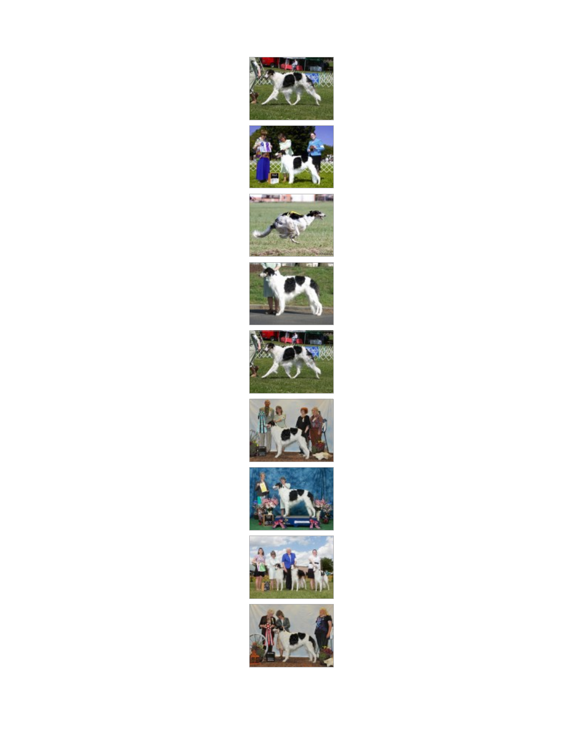